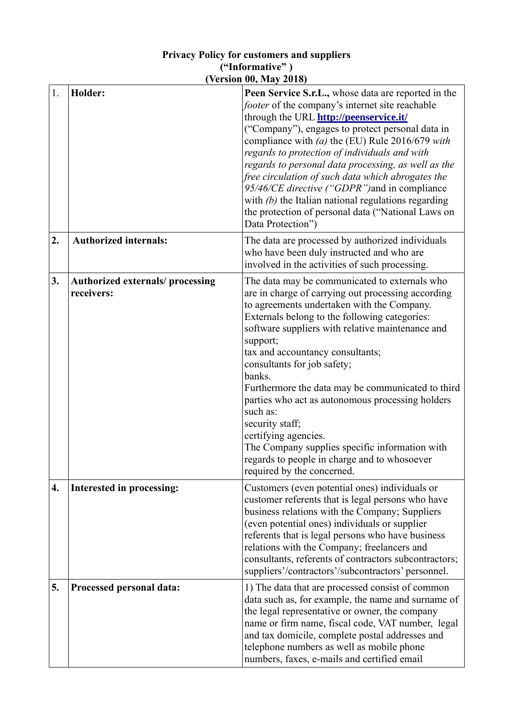## **Privacy Policy for customers and suppliers ("Informative" ) (Version 00, May 2018)**

| 1. | Holder:                                              | Peen Service S.r.L., whose data are reported in the<br>footer of the company's internet site reachable<br>through the URL http://peenservice.it/<br>("Company"), engages to protect personal data in<br>compliance with $(a)$ the (EU) Rule 2016/679 with<br>regards to protection of individuals and with<br>regards to personal data processing, as well as the<br>free circulation of such data which abrogates the<br>95/46/CE directive ("GDPR") and in compliance<br>with $(b)$ the Italian national regulations regarding<br>the protection of personal data ("National Laws on<br>Data Protection")                                     |
|----|------------------------------------------------------|-------------------------------------------------------------------------------------------------------------------------------------------------------------------------------------------------------------------------------------------------------------------------------------------------------------------------------------------------------------------------------------------------------------------------------------------------------------------------------------------------------------------------------------------------------------------------------------------------------------------------------------------------|
| 2. | <b>Authorized internals:</b>                         | The data are processed by authorized individuals<br>who have been duly instructed and who are<br>involved in the activities of such processing.                                                                                                                                                                                                                                                                                                                                                                                                                                                                                                 |
| 3. | <b>Authorized externals/processing</b><br>receivers: | The data may be communicated to externals who<br>are in charge of carrying out processing according<br>to agreements undertaken with the Company.<br>Externals belong to the following categories:<br>software suppliers with relative maintenance and<br>support;<br>tax and accountancy consultants;<br>consultants for job safety;<br>banks.<br>Furthermore the data may be communicated to third<br>parties who act as autonomous processing holders<br>such as:<br>security staff;<br>certifying agencies.<br>The Company supplies specific information with<br>regards to people in charge and to whosoever<br>required by the concerned. |
| 4. | Interested in processing:                            | Customers (even potential ones) individuals or<br>customer referents that is legal persons who have<br>business relations with the Company; Suppliers<br>(even potential ones) individuals or supplier<br>referents that is legal persons who have business<br>relations with the Company; freelancers and<br>consultants, referents of contractors subcontractors;<br>suppliers'/contractors'/subcontractors' personnel.                                                                                                                                                                                                                       |
| 5. | Processed personal data:                             | 1) The data that are processed consist of common<br>data such as, for example, the name and surname of<br>the legal representative or owner, the company<br>name or firm name, fiscal code, VAT number, legal<br>and tax domicile, complete postal addresses and<br>telephone numbers as well as mobile phone<br>numbers, faxes, e-mails and certified email                                                                                                                                                                                                                                                                                    |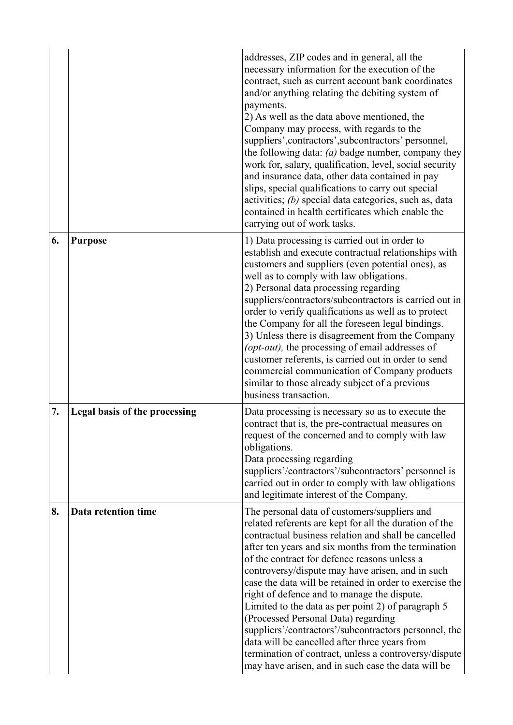|    |                               | addresses, ZIP codes and in general, all the<br>necessary information for the execution of the<br>contract, such as current account bank coordinates<br>and/or anything relating the debiting system of<br>payments.<br>2) As well as the data above mentioned, the<br>Company may process, with regards to the<br>suppliers', contractors', subcontractors' personnel,<br>the following data: $(a)$ badge number, company they<br>work for, salary, qualification, level, social security<br>and insurance data, other data contained in pay<br>slips, special qualifications to carry out special<br>activities; (b) special data categories, such as, data<br>contained in health certificates which enable the<br>carrying out of work tasks.         |
|----|-------------------------------|-----------------------------------------------------------------------------------------------------------------------------------------------------------------------------------------------------------------------------------------------------------------------------------------------------------------------------------------------------------------------------------------------------------------------------------------------------------------------------------------------------------------------------------------------------------------------------------------------------------------------------------------------------------------------------------------------------------------------------------------------------------|
| 6. | <b>Purpose</b>                | 1) Data processing is carried out in order to<br>establish and execute contractual relationships with<br>customers and suppliers (even potential ones), as<br>well as to comply with law obligations.<br>2) Personal data processing regarding<br>suppliers/contractors/subcontractors is carried out in<br>order to verify qualifications as well as to protect<br>the Company for all the foreseen legal bindings.<br>3) Unless there is disagreement from the Company<br>(opt-out), the processing of email addresses of<br>customer referents, is carried out in order to send<br>commercial communication of Company products<br>similar to those already subject of a previous<br>business transaction.                                             |
| 7. | Legal basis of the processing | Data processing is necessary so as to execute the<br>contract that is, the pre-contractual measures on<br>request of the concerned and to comply with law<br>obligations.<br>Data processing regarding<br>suppliers'/contractors'/subcontractors' personnel is<br>carried out in order to comply with law obligations<br>and legitimate interest of the Company.                                                                                                                                                                                                                                                                                                                                                                                          |
| 8. | Data retention time           | The personal data of customers/suppliers and<br>related referents are kept for all the duration of the<br>contractual business relation and shall be cancelled<br>after ten years and six months from the termination<br>of the contract for defence reasons unless a<br>controversy/dispute may have arisen, and in such<br>case the data will be retained in order to exercise the<br>right of defence and to manage the dispute.<br>Limited to the data as per point 2) of paragraph 5<br>(Processed Personal Data) regarding<br>suppliers'/contractors'/subcontractors personnel, the<br>data will be cancelled after three years from<br>termination of contract, unless a controversy/dispute<br>may have arisen, and in such case the data will be |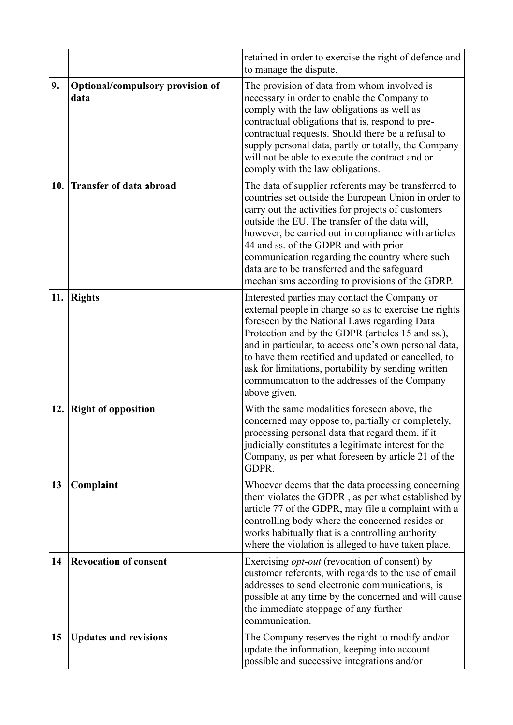|     |                                          | retained in order to exercise the right of defence and<br>to manage the dispute.                                                                                                                                                                                                                                                                                                                                                                                          |
|-----|------------------------------------------|---------------------------------------------------------------------------------------------------------------------------------------------------------------------------------------------------------------------------------------------------------------------------------------------------------------------------------------------------------------------------------------------------------------------------------------------------------------------------|
| 9.  | Optional/compulsory provision of<br>data | The provision of data from whom involved is<br>necessary in order to enable the Company to<br>comply with the law obligations as well as<br>contractual obligations that is, respond to pre-<br>contractual requests. Should there be a refusal to<br>supply personal data, partly or totally, the Company<br>will not be able to execute the contract and or<br>comply with the law obligations.                                                                         |
| 10. | <b>Transfer of data abroad</b>           | The data of supplier referents may be transferred to<br>countries set outside the European Union in order to<br>carry out the activities for projects of customers<br>outside the EU. The transfer of the data will,<br>however, be carried out in compliance with articles<br>44 and ss. of the GDPR and with prior<br>communication regarding the country where such<br>data are to be transferred and the safeguard<br>mechanisms according to provisions of the GDRP. |
| 11. | <b>Rights</b>                            | Interested parties may contact the Company or<br>external people in charge so as to exercise the rights<br>foreseen by the National Laws regarding Data<br>Protection and by the GDPR (articles 15 and ss.),<br>and in particular, to access one's own personal data,<br>to have them rectified and updated or cancelled, to<br>ask for limitations, portability by sending written<br>communication to the addresses of the Company<br>above given.                      |
| 12. | <b>Right of opposition</b>               | With the same modalities foreseen above, the<br>concerned may oppose to, partially or completely,<br>processing personal data that regard them, if it<br>judicially constitutes a legitimate interest for the<br>Company, as per what foreseen by article 21 of the<br>GDPR.                                                                                                                                                                                              |
| 13  | Complaint                                | Whoever deems that the data processing concerning<br>them violates the GDPR, as per what established by<br>article 77 of the GDPR, may file a complaint with a<br>controlling body where the concerned resides or<br>works habitually that is a controlling authority<br>where the violation is alleged to have taken place.                                                                                                                                              |
| 14  | <b>Revocation of consent</b>             | Exercising <i>opt-out</i> (revocation of consent) by<br>customer referents, with regards to the use of email<br>addresses to send electronic communications, is<br>possible at any time by the concerned and will cause<br>the immediate stoppage of any further<br>communication.                                                                                                                                                                                        |
| 15  | <b>Updates and revisions</b>             | The Company reserves the right to modify and/or<br>update the information, keeping into account<br>possible and successive integrations and/or                                                                                                                                                                                                                                                                                                                            |